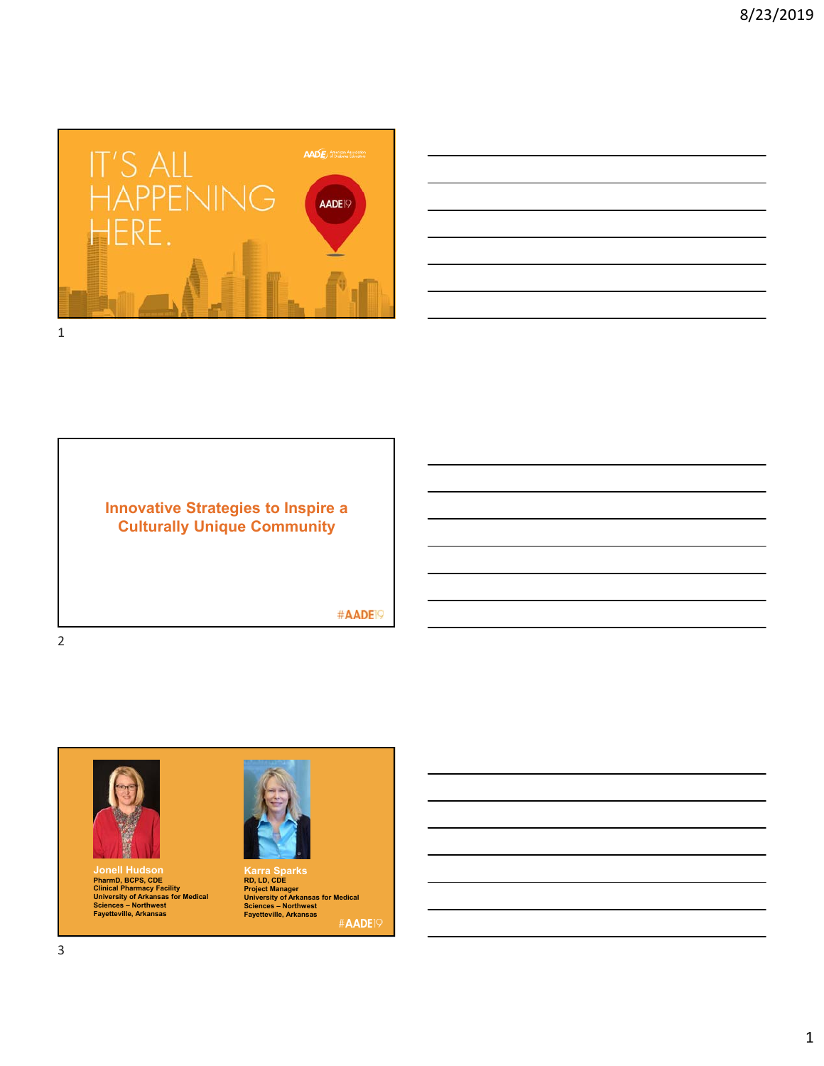

## **Innovative Strategies to Inspire a Culturally Unique Community**

#AADE<sup>19</sup>





**Jonell Hudson PharmD, BCPS, CDE Clinical Pharmacy Facility University of Arkansas for Medical Sciences – Northwest Fayetteville, Arkansas**



**Karra Sparks RD, LD, CDE Project Manager University of Arkansas for Medical Sciences – Northwest Fayetteville, Arkansas** #AADE<sup>19</sup>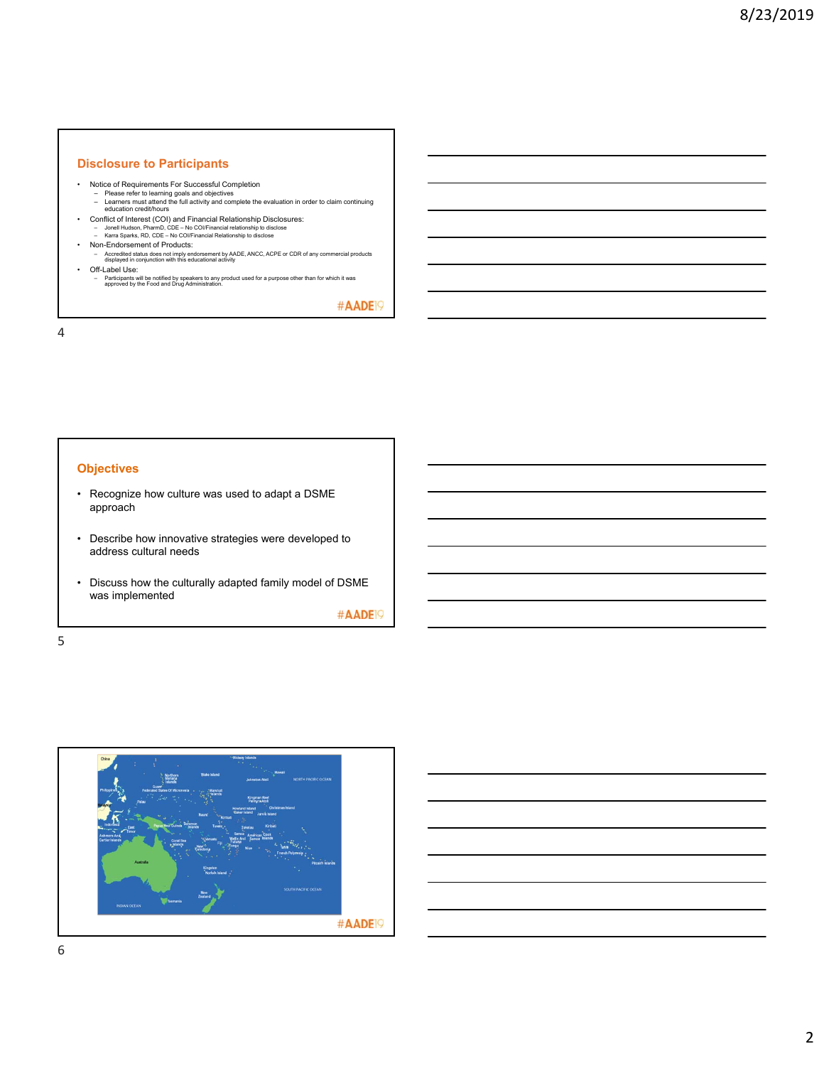### **Disclosure to Participants**

- Notice of Requirements For Successful Completion
	- Please refer to learning goals and objectives Learners must attend the full activity and complete the evaluation in order to claim continuing education credit/hours
	-
- Conflict of Interest (COI) and Financial Relationship Disclosures: Jonell Hudson, PharmD, CDE No COI/Financial relationship to disclose Karra Sparks, RD, CDE No COI/Financial Relationship to disclose
- 
- Non-Endorsement of Products: Accredited status does not imply endorsement by AADE, ANCC, ACPE or CDR of any commercial products displayed in conjunction with this educational activity
- Off-Label Use:
	- Participants will be notified by speakers to any product used for a purpose other than for which it was approved by the Food and Drug Administration.

#AADE<sup>19</sup>

4

### **Objectives**

- Recognize how culture was used to adapt a DSME approach
- Describe how innovative strategies were developed to address cultural needs
- Discuss how the culturally adapted family model of DSME was implemented

#AADE<sup>19</sup>

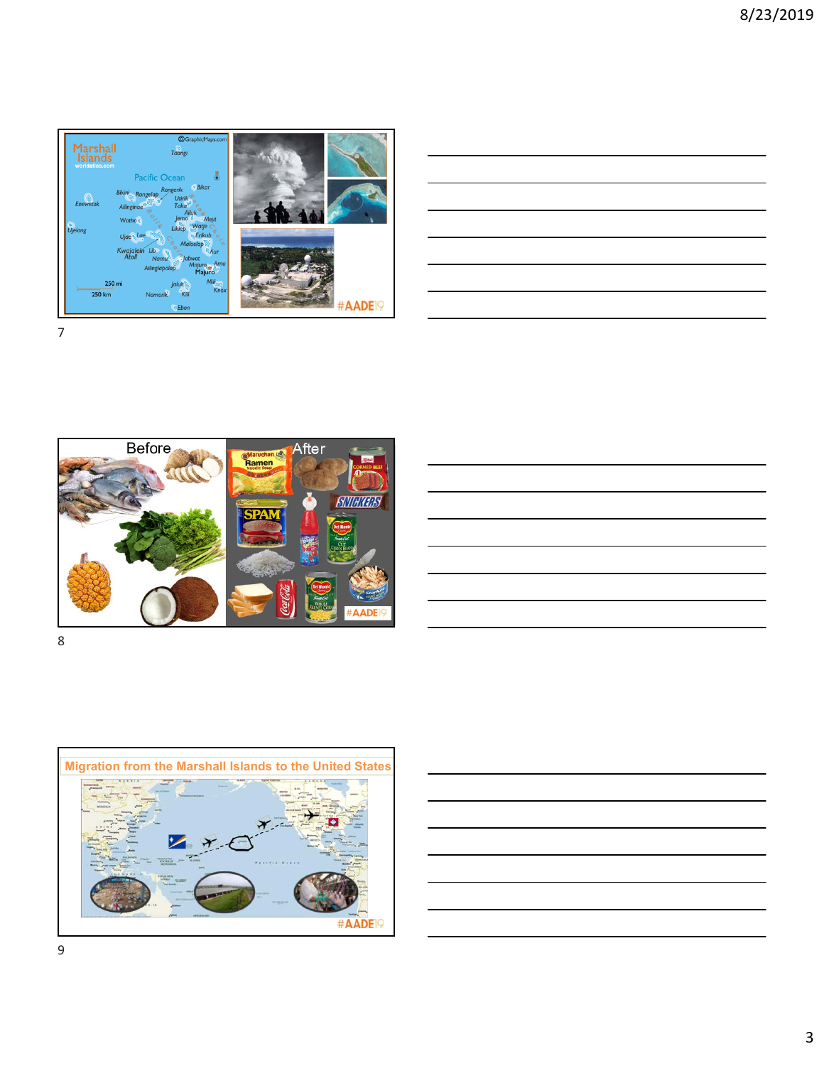

| and the control of the control of the control of the control of the control of the control of the control of the |  |  |
|------------------------------------------------------------------------------------------------------------------|--|--|
| ,我们也不会有什么。""我们的人,我们也不会有什么?""我们的人,我们也不会有什么?""我们的人,我们也不会有什么?""我们的人,我们也不会有什么?""我们的人                                 |  |  |
|                                                                                                                  |  |  |
|                                                                                                                  |  |  |
|                                                                                                                  |  |  |
|                                                                                                                  |  |  |
|                                                                                                                  |  |  |







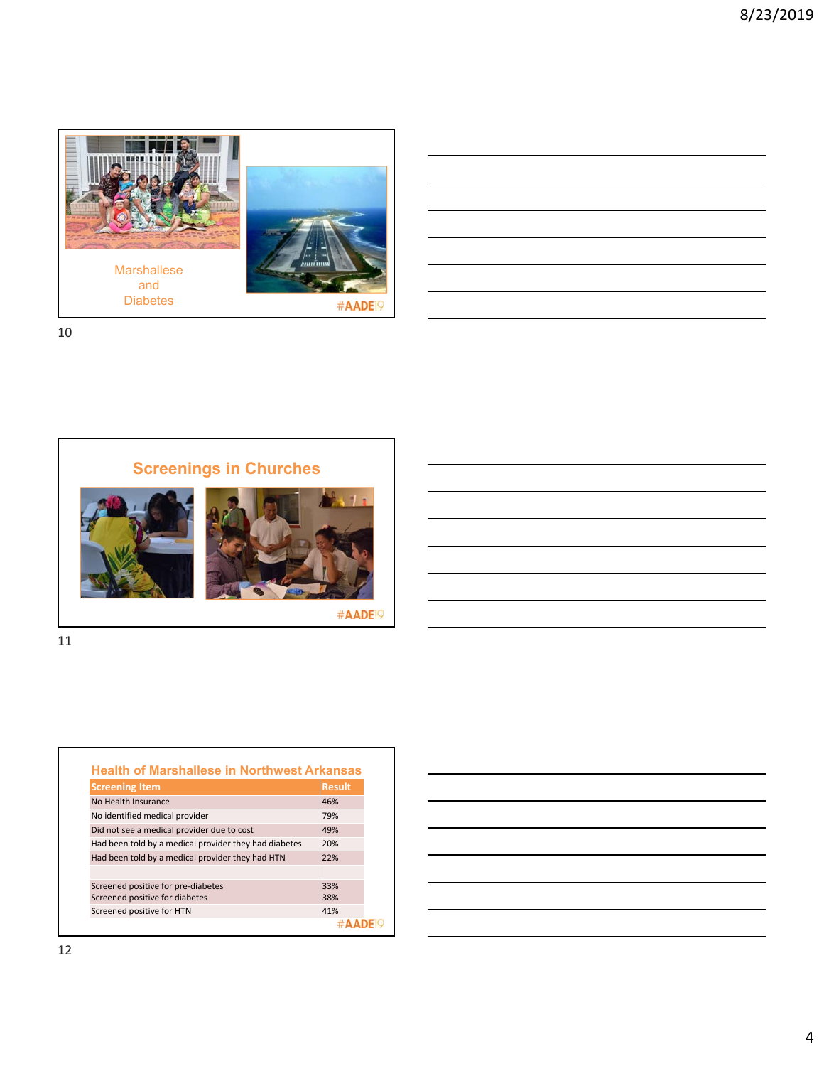

10





| <b>Screening Item</b>                                 | <b>Result</b> |
|-------------------------------------------------------|---------------|
| No Health Insurance                                   | 46%           |
| No identified medical provider                        | 79%           |
| Did not see a medical provider due to cost            | 49%           |
| Had been told by a medical provider they had diabetes | 20%           |
| Had been told by a medical provider they had HTN      | 22%           |
|                                                       |               |
| Screened positive for pre-diabetes                    | 33%           |
| Screened positive for diabetes                        | 38%           |
| Screened positive for HTN                             | 41%           |

| <u> Andreas Andreas Andreas Andreas Andreas Andreas Andreas Andreas Andreas Andreas Andreas Andreas Andreas Andreas Andreas Andreas Andreas Andreas Andreas Andreas Andreas Andreas Andreas Andreas Andreas Andreas Andreas Andr</u> |                                                                                                                                                                                                                                      |  |                                                                                                                       |
|--------------------------------------------------------------------------------------------------------------------------------------------------------------------------------------------------------------------------------------|--------------------------------------------------------------------------------------------------------------------------------------------------------------------------------------------------------------------------------------|--|-----------------------------------------------------------------------------------------------------------------------|
|                                                                                                                                                                                                                                      | <u> Andreas Andreas Andreas Andreas Andreas Andreas Andreas Andreas Andreas Andreas Andreas Andreas Andreas Andreas Andreas Andreas Andreas Andreas Andreas Andreas Andreas Andreas Andreas Andreas Andreas Andreas Andreas Andr</u> |  |                                                                                                                       |
|                                                                                                                                                                                                                                      | <u> Alexandria de la contrada de la contrada de la contrada de la contrada de la contrada de la contrada de la c</u>                                                                                                                 |  |                                                                                                                       |
|                                                                                                                                                                                                                                      |                                                                                                                                                                                                                                      |  |                                                                                                                       |
|                                                                                                                                                                                                                                      |                                                                                                                                                                                                                                      |  | <u> Alexandro de la contrada de la contrada de la contrada de la contrada de la contrada de la contrada de la con</u> |
|                                                                                                                                                                                                                                      |                                                                                                                                                                                                                                      |  |                                                                                                                       |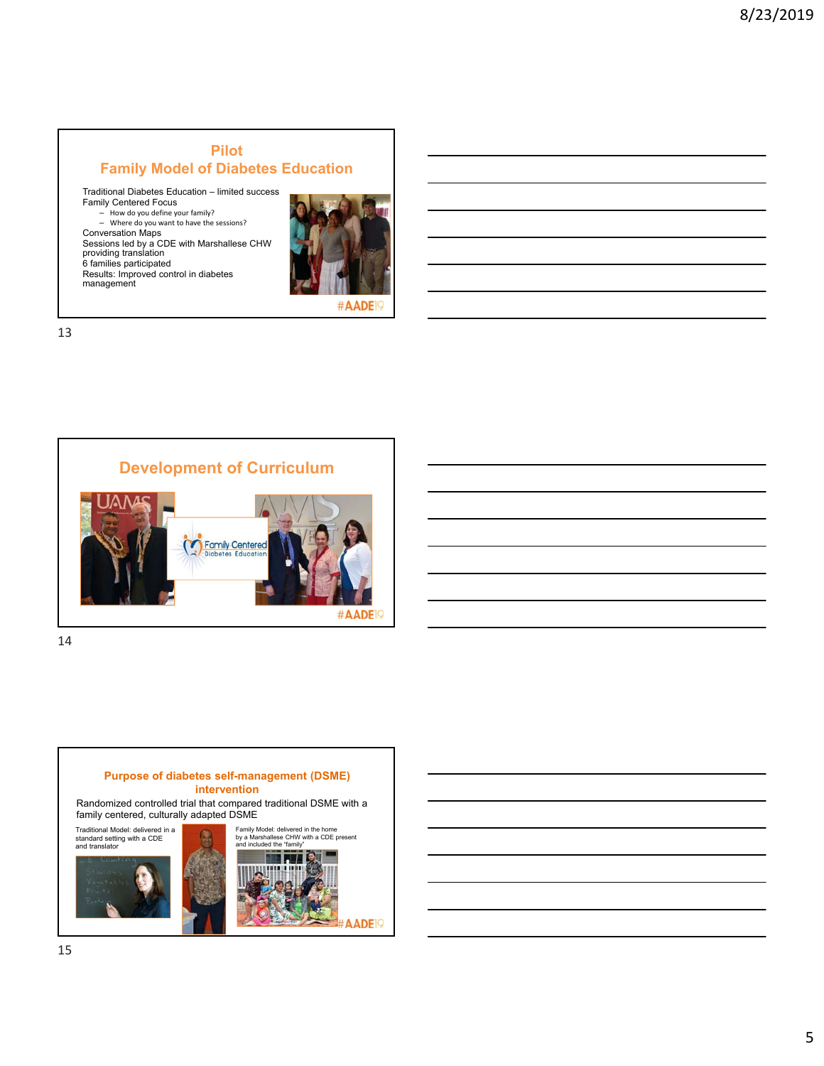### **Pilot Family Model of Diabetes Education**

Traditional Diabetes Education – limited success Family Centered Focus – How do you define your family? – Where do you want to have the sessions? Conversation Maps Sessions led by a CDE with Marshallese CHW providing translation 6 families participated Results: Improved control in diabetes management



#AADE

13



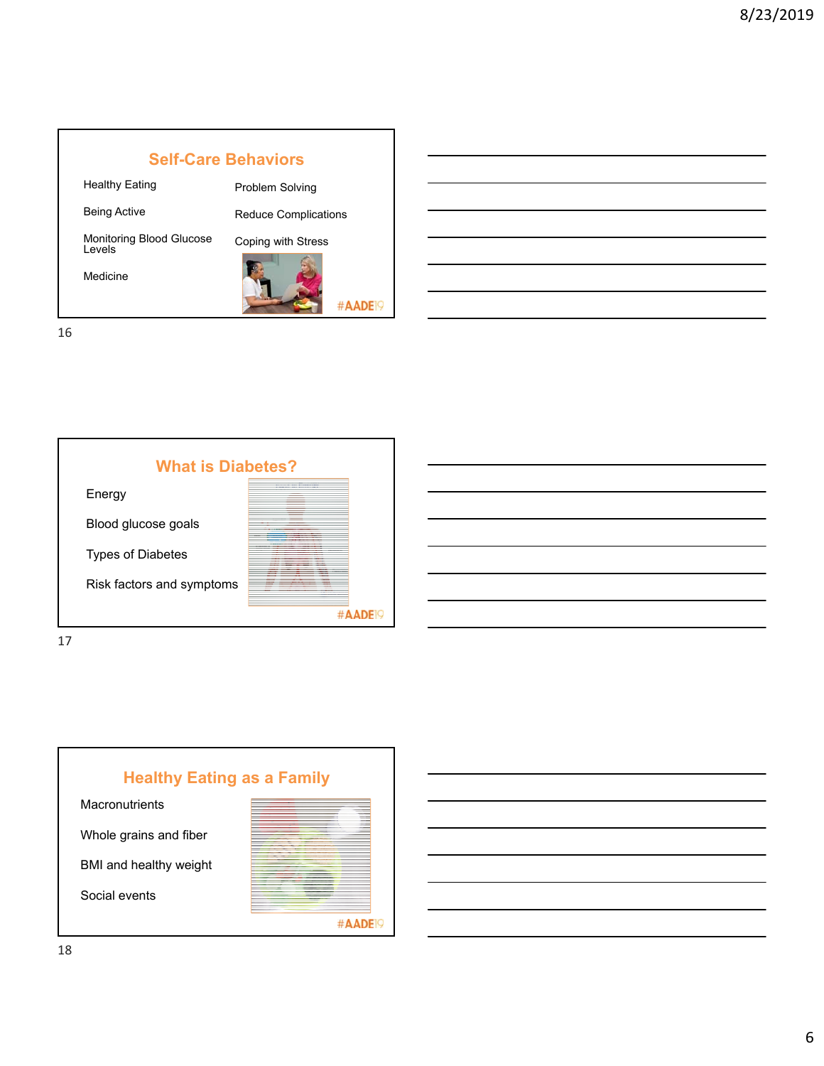





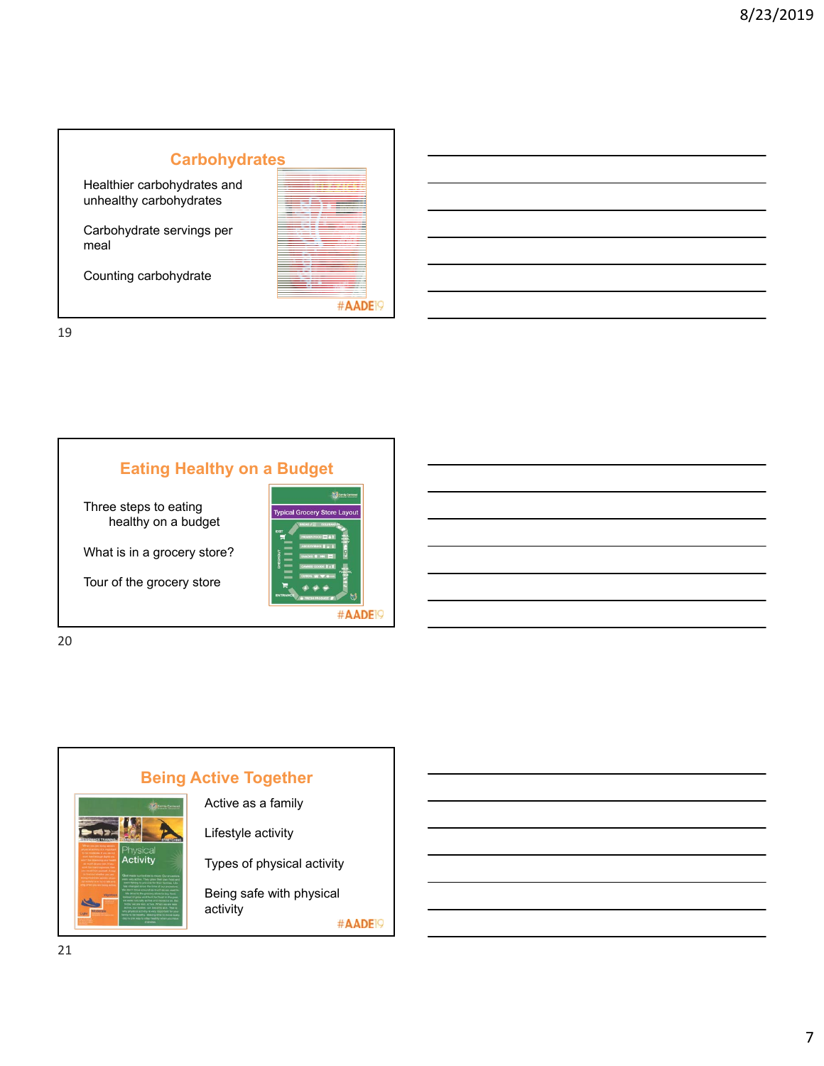# **Carbohydrates**

Healthier carbohydrates and unhealthy carbohydrates

Carbohydrate servings per meal

Counting carbohydrate

| DF |
|----|
|    |
|    |

19

## **Eating Healthy on a Budget**

Three steps to eating healthy on a budget

What is in a grocery store?

Tour of the grocery store



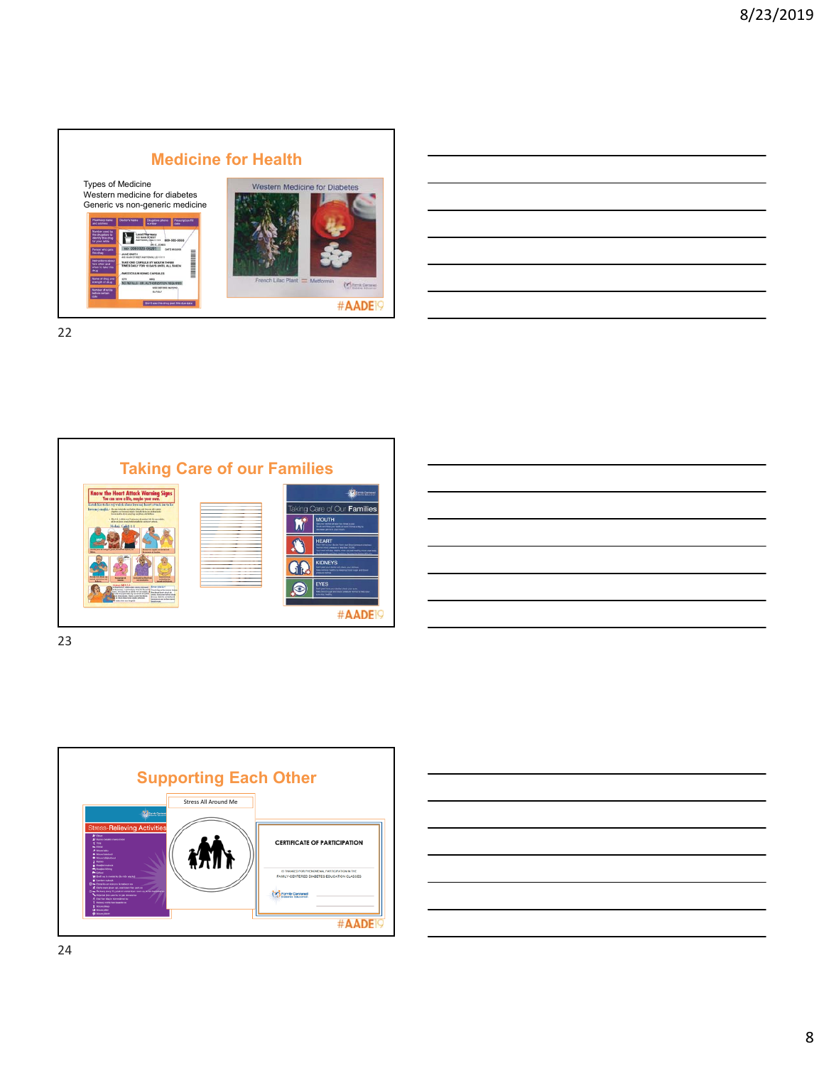

22



23



| the control of the control of the control of |                                                                                                                                                                                                                                      |  |  |
|----------------------------------------------|--------------------------------------------------------------------------------------------------------------------------------------------------------------------------------------------------------------------------------------|--|--|
|                                              |                                                                                                                                                                                                                                      |  |  |
|                                              |                                                                                                                                                                                                                                      |  |  |
|                                              |                                                                                                                                                                                                                                      |  |  |
|                                              | <u> Linda a Carl Communication and the Carl Communication and the Carl Communication and the Carl Communication and the Carl Communication and the Carl Communication and the Carl Communication and the Carl Communication and </u> |  |  |
|                                              |                                                                                                                                                                                                                                      |  |  |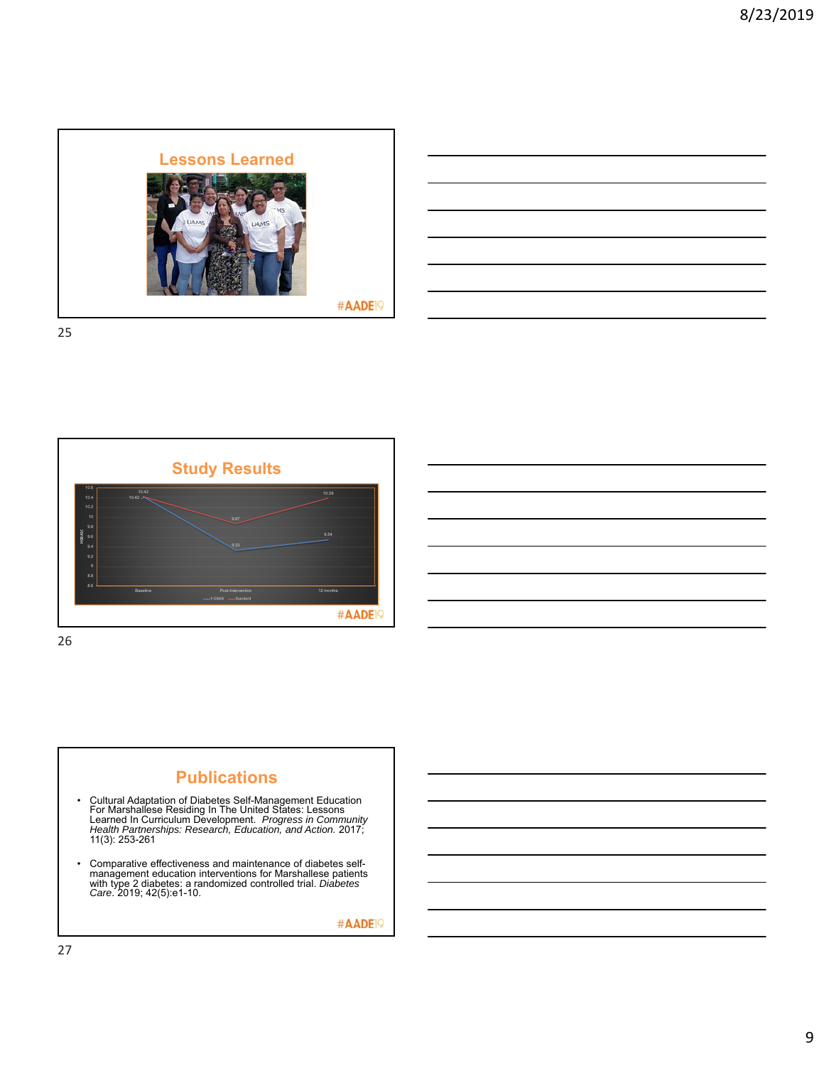





#AADE<sup>19</sup>